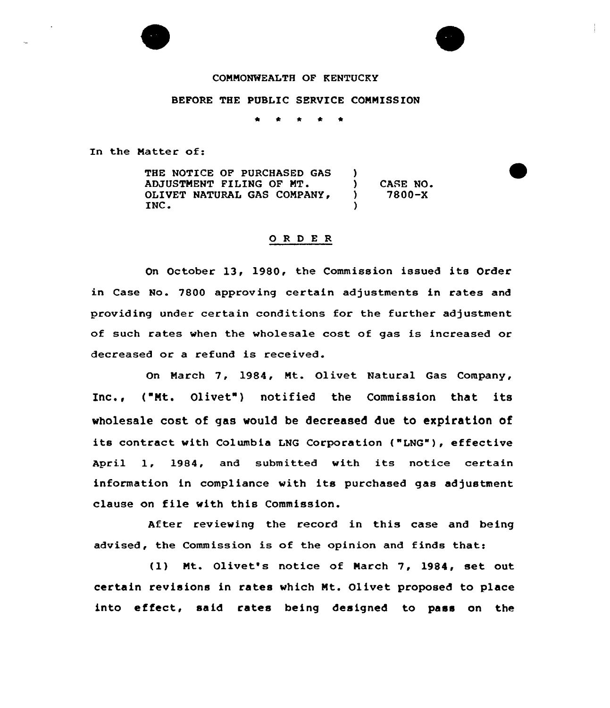## COMMONWEALTH OF KENTUCKY

## BEFORE THE PUBLIC SERVICE COMMISSION

 $\bullet$  $\bullet$  $\bullet$ 

In the Matter of:

THE NOTICE OP PURCHASED GAS ADJUSTMENT FILING OF MT. OLIVET NATURAL GAS COMPANY,<br>INC. )<br>) ) CASE NO.<br>
) 7800-X ) 7800-X )

### 0 <sup>R</sup> <sup>D</sup> E <sup>R</sup>

On October 13, 1980, the Commission issued its Order in Case No. 7800 approving certain adjustments in rates and providing under certain conditions for the further adjustment of such rates when the wholesale cost of gas is increased or decreased or a refund is received.

On March 7, 1984, Mt. Olivet Natural Gas Company, Inc., ( Mt. Olivet ) notified the Commission that its wholesale cost of gas would be decreased due to expiration of its contract with Columbia LNG Corporation ("LNG"), effective April 1, 1984, and submitted with its notice certain information in compliance with its purchased gas adjustment clause on file with this Commission.

After reviewing the record in this case and being advised, the Commission is of the opinion and finds that:

{1) Mt. Olivet's notice of March 7, 1984, set out certain revisions in rates which Mt. Olivet proposed to place into effect, said rates being designed to pass on the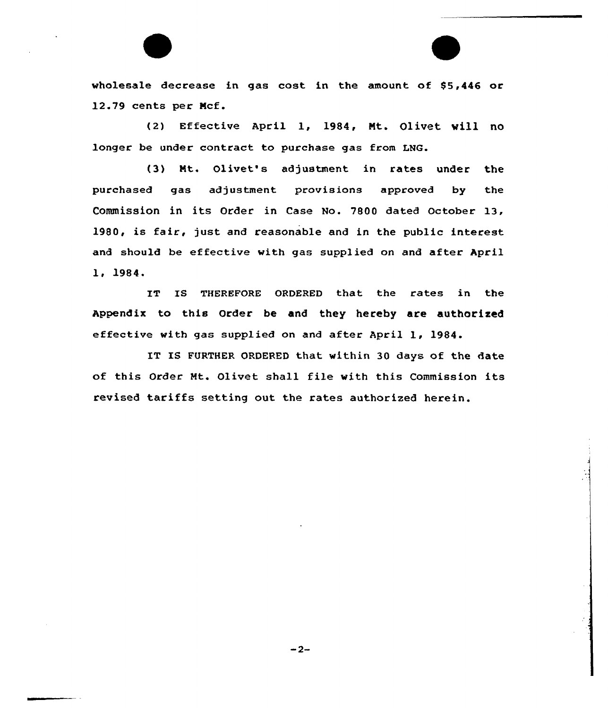wholesale decrease in gas cost in the amount of \$5,446 or 12.79 cents per Mcf.

(2) Effective April 1, 1984, Mt. Olivet will no longer be under contract to purchase gas from LNG.

(3) Mt. Olivet's adjustment in rates under the purchased gas adjustment provisions approved by the Commission in its Order in Case No. 7800 dated October 13. 1980, is fair, just and reasonable and in the public interest and should be effective with gas supplied on and after April 1, 1984.

IT IS THEREFORE ORDERED that the rates in the Appendix to this Order be and they hereby are authorised effective with gas supplied on and after April 1, 1984.

IT IS FURTHER ORDERED that within 30 days of the date of this Order Mt. Olivet shall file with this Commission its revised tariffs setting out the rates authorized herein.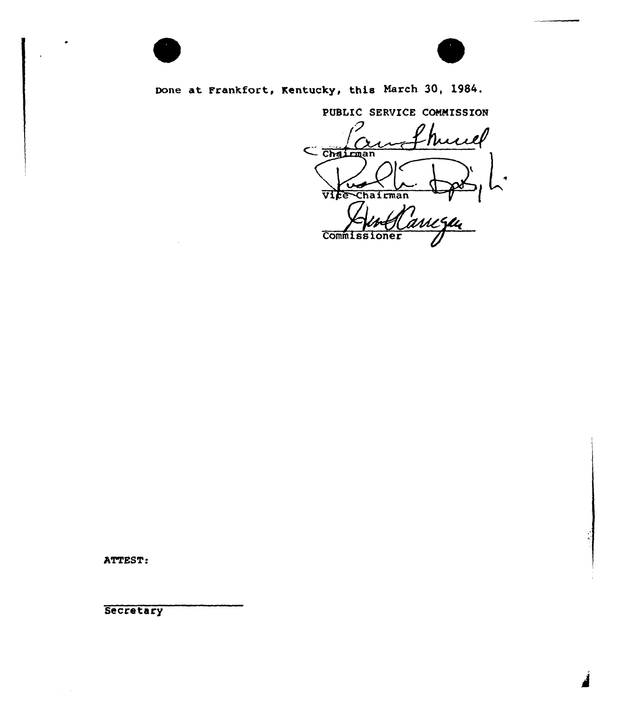

Done at Frankfort, Kentucky, this March 30, 1984.

PUBLIC SERVICE COMMISSION hund  $\frac{1}{\frac{1}{\frac{1}{2}}\frac{1}{\frac{1}{2}}\frac{1}{\frac{1}{2}}\frac{1}{\frac{1}{2}}\frac{1}{\frac{1}{2}}\frac{1}{\frac{1}{2}}\frac{1}{\frac{1}{2}}\frac{1}{\frac{1}{2}}\frac{1}{\frac{1}{2}}\frac{1}{\frac{1}{2}}\frac{1}{\frac{1}{2}}\frac{1}{\frac{1}{2}}\frac{1}{\frac{1}{2}}\frac{1}{\frac{1}{2}}\frac{1}{\frac{1}{2}}\frac{1}{\frac{1}{2}}\frac{1}{\frac{1}{2}}\frac{1}{\frac{1}{2$ VICE Chairman Commissioner

ATTEST:

**Secretary**